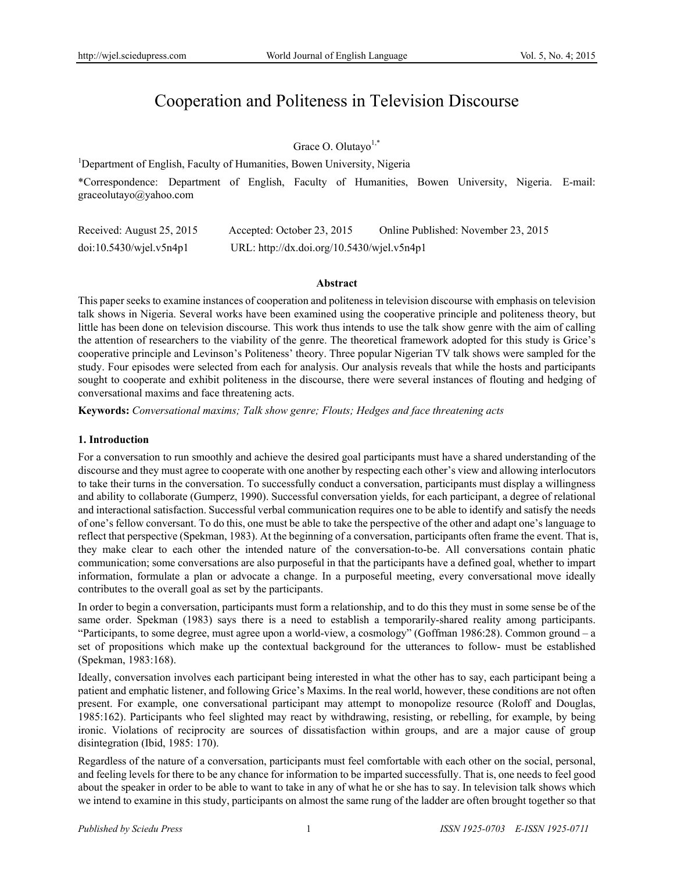# Cooperation and Politeness in Television Discourse

Grace O. Olutayo<sup>1,\*</sup>

<sup>1</sup>Department of English, Faculty of Humanities, Bowen University, Nigeria

\*Correspondence: Department of English, Faculty of Humanities, Bowen University, Nigeria. E-mail: graceolutayo@yahoo.com

| Received: August 25, 2015  | Accepted: October 23, 2015                 | Online Published: November 23, 2015 |
|----------------------------|--------------------------------------------|-------------------------------------|
| $doi:10.5430/w$ jel.v5n4p1 | URL: http://dx.doi.org/10.5430/wjel.v5n4p1 |                                     |

#### **Abstract**

This paper seeks to examine instances of cooperation and politeness in television discourse with emphasis on television talk shows in Nigeria. Several works have been examined using the cooperative principle and politeness theory, but little has been done on television discourse. This work thus intends to use the talk show genre with the aim of calling the attention of researchers to the viability of the genre. The theoretical framework adopted for this study is Grice's cooperative principle and Levinson's Politeness' theory. Three popular Nigerian TV talk shows were sampled for the study. Four episodes were selected from each for analysis. Our analysis reveals that while the hosts and participants sought to cooperate and exhibit politeness in the discourse, there were several instances of flouting and hedging of conversational maxims and face threatening acts.

**Keywords:** *Conversational maxims; Talk show genre; Flouts; Hedges and face threatening acts*

## **1. Introduction**

For a conversation to run smoothly and achieve the desired goal participants must have a shared understanding of the discourse and they must agree to cooperate with one another by respecting each other's view and allowing interlocutors to take their turns in the conversation. To successfully conduct a conversation, participants must display a willingness and ability to collaborate (Gumperz, 1990). Successful conversation yields, for each participant, a degree of relational and interactional satisfaction. Successful verbal communication requires one to be able to identify and satisfy the needs of one's fellow conversant. To do this, one must be able to take the perspective of the other and adapt one's language to reflect that perspective (Spekman, 1983). At the beginning of a conversation, participants often frame the event. That is, they make clear to each other the intended nature of the conversation-to-be. All conversations contain phatic communication; some conversations are also purposeful in that the participants have a defined goal, whether to impart information, formulate a plan or advocate a change. In a purposeful meeting, every conversational move ideally contributes to the overall goal as set by the participants.

In order to begin a conversation, participants must form a relationship, and to do this they must in some sense be of the same order. Spekman (1983) says there is a need to establish a temporarily-shared reality among participants. "Participants, to some degree, must agree upon a world-view, a cosmology" (Goffman 1986:28). Common ground – a set of propositions which make up the contextual background for the utterances to follow- must be established (Spekman, 1983:168).

Ideally, conversation involves each participant being interested in what the other has to say, each participant being a patient and emphatic listener, and following Grice's Maxims. In the real world, however, these conditions are not often present. For example, one conversational participant may attempt to monopolize resource (Roloff and Douglas, 1985:162). Participants who feel slighted may react by withdrawing, resisting, or rebelling, for example, by being ironic. Violations of reciprocity are sources of dissatisfaction within groups, and are a major cause of group disintegration (Ibid, 1985: 170).

Regardless of the nature of a conversation, participants must feel comfortable with each other on the social, personal, and feeling levels for there to be any chance for information to be imparted successfully. That is, one needs to feel good about the speaker in order to be able to want to take in any of what he or she has to say. In television talk shows which we intend to examine in this study, participants on almost the same rung of the ladder are often brought together so that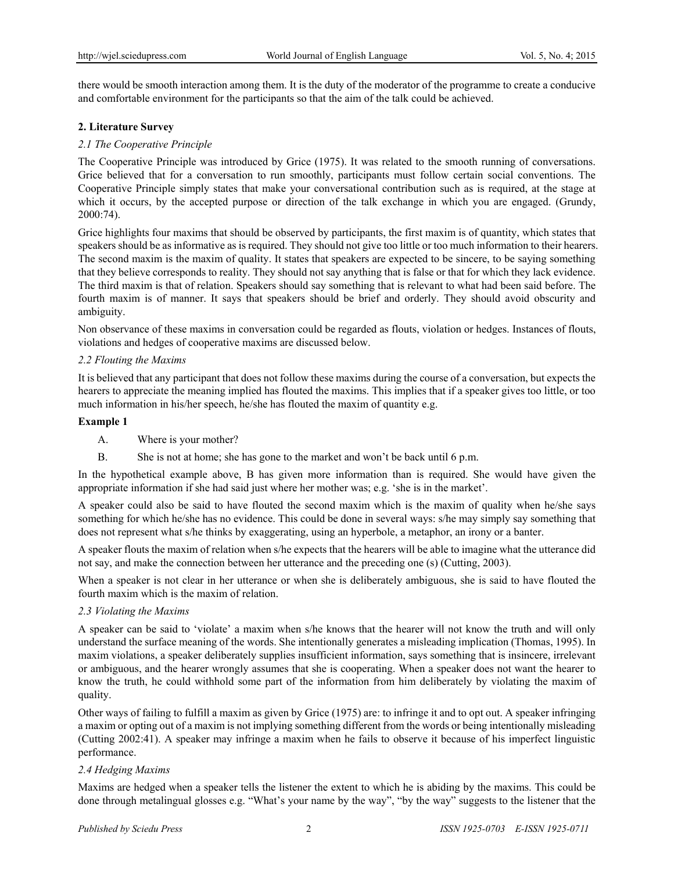there would be smooth interaction among them. It is the duty of the moderator of the programme to create a conducive and comfortable environment for the participants so that the aim of the talk could be achieved.

## **2. Literature Survey**

# *2.1 The Cooperative Principle*

The Cooperative Principle was introduced by Grice (1975). It was related to the smooth running of conversations. Grice believed that for a conversation to run smoothly, participants must follow certain social conventions. The Cooperative Principle simply states that make your conversational contribution such as is required, at the stage at which it occurs, by the accepted purpose or direction of the talk exchange in which you are engaged. (Grundy, 2000:74).

Grice highlights four maxims that should be observed by participants, the first maxim is of quantity, which states that speakers should be as informative as is required. They should not give too little or too much information to their hearers. The second maxim is the maxim of quality. It states that speakers are expected to be sincere, to be saying something that they believe corresponds to reality. They should not say anything that is false or that for which they lack evidence. The third maxim is that of relation. Speakers should say something that is relevant to what had been said before. The fourth maxim is of manner. It says that speakers should be brief and orderly. They should avoid obscurity and ambiguity.

Non observance of these maxims in conversation could be regarded as flouts, violation or hedges. Instances of flouts, violations and hedges of cooperative maxims are discussed below.

## *2.2 Flouting the Maxims*

It is believed that any participant that does not follow these maxims during the course of a conversation, but expects the hearers to appreciate the meaning implied has flouted the maxims. This implies that if a speaker gives too little, or too much information in his/her speech, he/she has flouted the maxim of quantity e.g.

#### **Example 1**

- A. Where is your mother?
- B. She is not at home; she has gone to the market and won't be back until 6 p.m.

In the hypothetical example above, B has given more information than is required. She would have given the appropriate information if she had said just where her mother was; e.g. 'she is in the market'.

A speaker could also be said to have flouted the second maxim which is the maxim of quality when he/she says something for which he/she has no evidence. This could be done in several ways: s/he may simply say something that does not represent what s/he thinks by exaggerating, using an hyperbole, a metaphor, an irony or a banter.

A speaker flouts the maxim of relation when s/he expects that the hearers will be able to imagine what the utterance did not say, and make the connection between her utterance and the preceding one (s) (Cutting, 2003).

When a speaker is not clear in her utterance or when she is deliberately ambiguous, she is said to have flouted the fourth maxim which is the maxim of relation.

## *2.3 Violating the Maxims*

A speaker can be said to 'violate' a maxim when s/he knows that the hearer will not know the truth and will only understand the surface meaning of the words. She intentionally generates a misleading implication (Thomas, 1995). In maxim violations, a speaker deliberately supplies insufficient information, says something that is insincere, irrelevant or ambiguous, and the hearer wrongly assumes that she is cooperating. When a speaker does not want the hearer to know the truth, he could withhold some part of the information from him deliberately by violating the maxim of quality.

Other ways of failing to fulfill a maxim as given by Grice (1975) are: to infringe it and to opt out. A speaker infringing a maxim or opting out of a maxim is not implying something different from the words or being intentionally misleading (Cutting 2002:41). A speaker may infringe a maxim when he fails to observe it because of his imperfect linguistic performance.

## *2.4 Hedging Maxims*

Maxims are hedged when a speaker tells the listener the extent to which he is abiding by the maxims. This could be done through metalingual glosses e.g. "What's your name by the way", "by the way" suggests to the listener that the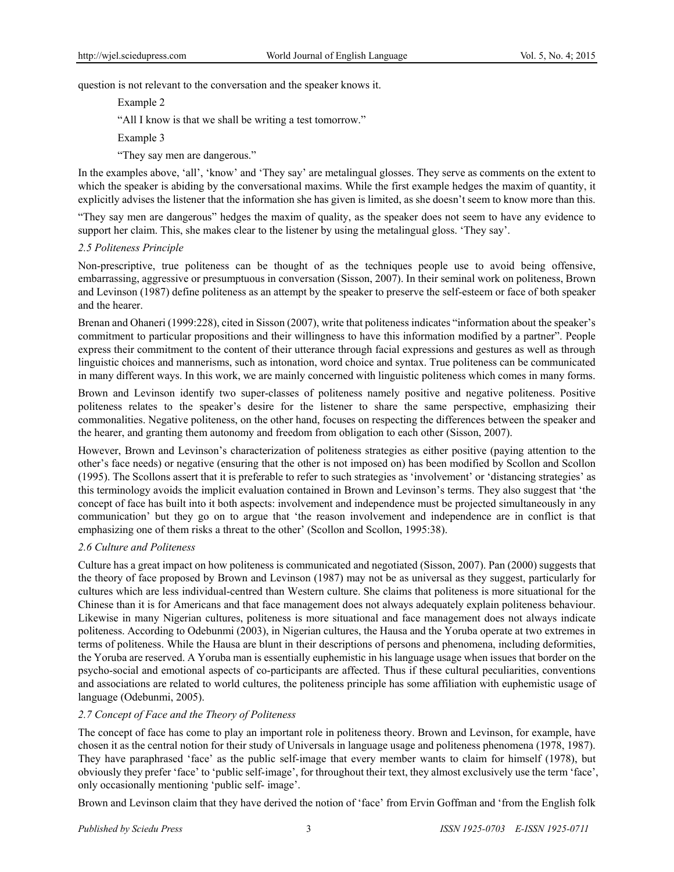question is not relevant to the conversation and the speaker knows it.

Example 2

"All I know is that we shall be writing a test tomorrow."

Example 3

"They say men are dangerous."

In the examples above, 'all', 'know' and 'They say' are metalingual glosses. They serve as comments on the extent to which the speaker is abiding by the conversational maxims. While the first example hedges the maxim of quantity, it explicitly advises the listener that the information she has given is limited, as she doesn't seem to know more than this.

"They say men are dangerous" hedges the maxim of quality, as the speaker does not seem to have any evidence to support her claim. This, she makes clear to the listener by using the metalingual gloss. 'They say'.

#### *2.5 Politeness Principle*

Non-prescriptive, true politeness can be thought of as the techniques people use to avoid being offensive, embarrassing, aggressive or presumptuous in conversation (Sisson, 2007). In their seminal work on politeness, Brown and Levinson (1987) define politeness as an attempt by the speaker to preserve the self-esteem or face of both speaker and the hearer.

Brenan and Ohaneri (1999:228), cited in Sisson (2007), write that politeness indicates "information about the speaker's commitment to particular propositions and their willingness to have this information modified by a partner". People express their commitment to the content of their utterance through facial expressions and gestures as well as through linguistic choices and mannerisms, such as intonation, word choice and syntax. True politeness can be communicated in many different ways. In this work, we are mainly concerned with linguistic politeness which comes in many forms.

Brown and Levinson identify two super-classes of politeness namely positive and negative politeness. Positive politeness relates to the speaker's desire for the listener to share the same perspective, emphasizing their commonalities. Negative politeness, on the other hand, focuses on respecting the differences between the speaker and the hearer, and granting them autonomy and freedom from obligation to each other (Sisson, 2007).

However, Brown and Levinson's characterization of politeness strategies as either positive (paying attention to the other's face needs) or negative (ensuring that the other is not imposed on) has been modified by Scollon and Scollon (1995). The Scollons assert that it is preferable to refer to such strategies as 'involvement' or 'distancing strategies' as this terminology avoids the implicit evaluation contained in Brown and Levinson's terms. They also suggest that 'the concept of face has built into it both aspects: involvement and independence must be projected simultaneously in any communication' but they go on to argue that 'the reason involvement and independence are in conflict is that emphasizing one of them risks a threat to the other' (Scollon and Scollon, 1995:38).

## *2.6 Culture and Politeness*

Culture has a great impact on how politeness is communicated and negotiated (Sisson, 2007). Pan (2000) suggests that the theory of face proposed by Brown and Levinson (1987) may not be as universal as they suggest, particularly for cultures which are less individual-centred than Western culture. She claims that politeness is more situational for the Chinese than it is for Americans and that face management does not always adequately explain politeness behaviour. Likewise in many Nigerian cultures, politeness is more situational and face management does not always indicate politeness. According to Odebunmi (2003), in Nigerian cultures, the Hausa and the Yoruba operate at two extremes in terms of politeness. While the Hausa are blunt in their descriptions of persons and phenomena, including deformities, the Yoruba are reserved. A Yoruba man is essentially euphemistic in his language usage when issues that border on the psycho-social and emotional aspects of co-participants are affected. Thus if these cultural peculiarities, conventions and associations are related to world cultures, the politeness principle has some affiliation with euphemistic usage of language (Odebunmi, 2005).

## *2.7 Concept of Face and the Theory of Politeness*

The concept of face has come to play an important role in politeness theory. Brown and Levinson, for example, have chosen it as the central notion for their study of Universals in language usage and politeness phenomena (1978, 1987). They have paraphrased 'face' as the public self-image that every member wants to claim for himself (1978), but obviously they prefer 'face' to 'public self-image', for throughout their text, they almost exclusively use the term 'face', only occasionally mentioning 'public self- image'.

Brown and Levinson claim that they have derived the notion of 'face' from Ervin Goffman and 'from the English folk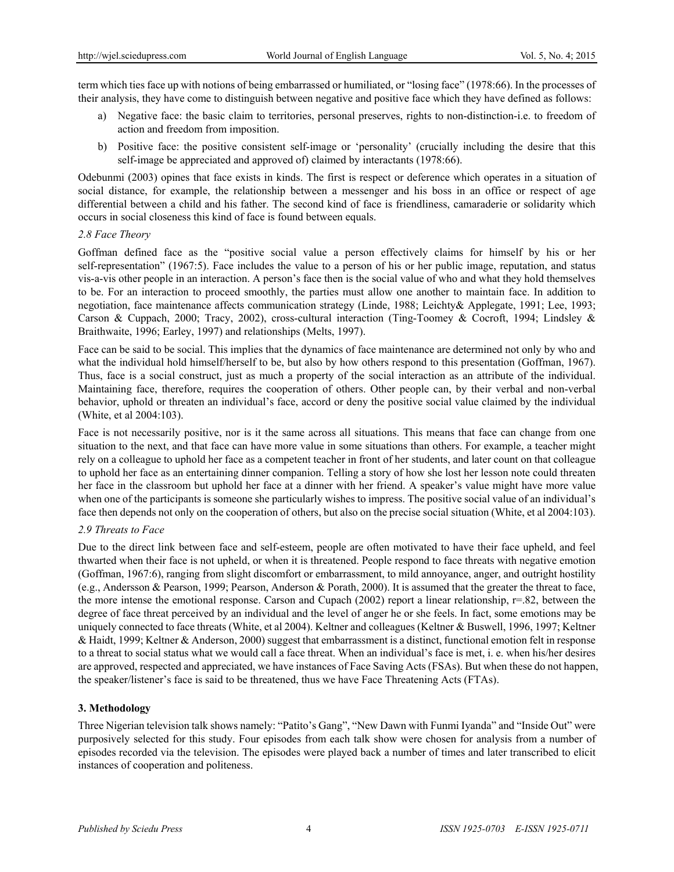term which ties face up with notions of being embarrassed or humiliated, or "losing face" (1978:66). In the processes of their analysis, they have come to distinguish between negative and positive face which they have defined as follows:

- a) Negative face: the basic claim to territories, personal preserves, rights to non-distinction-i.e. to freedom of action and freedom from imposition.
- b) Positive face: the positive consistent self-image or 'personality' (crucially including the desire that this self-image be appreciated and approved of) claimed by interactants (1978:66).

Odebunmi (2003) opines that face exists in kinds. The first is respect or deference which operates in a situation of social distance, for example, the relationship between a messenger and his boss in an office or respect of age differential between a child and his father. The second kind of face is friendliness, camaraderie or solidarity which occurs in social closeness this kind of face is found between equals.

## *2.8 Face Theory*

Goffman defined face as the "positive social value a person effectively claims for himself by his or her self-representation" (1967:5). Face includes the value to a person of his or her public image, reputation, and status vis-a-vis other people in an interaction. A person's face then is the social value of who and what they hold themselves to be. For an interaction to proceed smoothly, the parties must allow one another to maintain face. In addition to negotiation, face maintenance affects communication strategy (Linde, 1988; Leichty& Applegate, 1991; Lee, 1993; Carson & Cuppach, 2000; Tracy, 2002), cross-cultural interaction (Ting-Toomey & Cocroft, 1994; Lindsley & Braithwaite, 1996; Earley, 1997) and relationships (Melts, 1997).

Face can be said to be social. This implies that the dynamics of face maintenance are determined not only by who and what the individual hold himself/herself to be, but also by how others respond to this presentation (Goffman, 1967). Thus, face is a social construct, just as much a property of the social interaction as an attribute of the individual. Maintaining face, therefore, requires the cooperation of others. Other people can, by their verbal and non-verbal behavior, uphold or threaten an individual's face, accord or deny the positive social value claimed by the individual (White, et al 2004:103).

Face is not necessarily positive, nor is it the same across all situations. This means that face can change from one situation to the next, and that face can have more value in some situations than others. For example, a teacher might rely on a colleague to uphold her face as a competent teacher in front of her students, and later count on that colleague to uphold her face as an entertaining dinner companion. Telling a story of how she lost her lesson note could threaten her face in the classroom but uphold her face at a dinner with her friend. A speaker's value might have more value when one of the participants is someone she particularly wishes to impress. The positive social value of an individual's face then depends not only on the cooperation of others, but also on the precise social situation (White, et al 2004:103).

## *2.9 Threats to Face*

Due to the direct link between face and self-esteem, people are often motivated to have their face upheld, and feel thwarted when their face is not upheld, or when it is threatened. People respond to face threats with negative emotion (Goffman, 1967:6), ranging from slight discomfort or embarrassment, to mild annoyance, anger, and outright hostility (e.g., Andersson & Pearson, 1999; Pearson, Anderson & Porath, 2000). It is assumed that the greater the threat to face, the more intense the emotional response. Carson and Cupach (2002) report a linear relationship,  $r=.82$ , between the degree of face threat perceived by an individual and the level of anger he or she feels. In fact, some emotions may be uniquely connected to face threats (White, et al 2004). Keltner and colleagues (Keltner & Buswell, 1996, 1997; Keltner & Haidt, 1999; Keltner & Anderson, 2000) suggest that embarrassment is a distinct, functional emotion felt in response to a threat to social status what we would call a face threat. When an individual's face is met, i. e. when his/her desires are approved, respected and appreciated, we have instances of Face Saving Acts (FSAs). But when these do not happen, the speaker/listener's face is said to be threatened, thus we have Face Threatening Acts (FTAs).

## **3. Methodology**

Three Nigerian television talk shows namely: "Patito's Gang", "New Dawn with Funmi Iyanda" and "Inside Out" were purposively selected for this study. Four episodes from each talk show were chosen for analysis from a number of episodes recorded via the television. The episodes were played back a number of times and later transcribed to elicit instances of cooperation and politeness.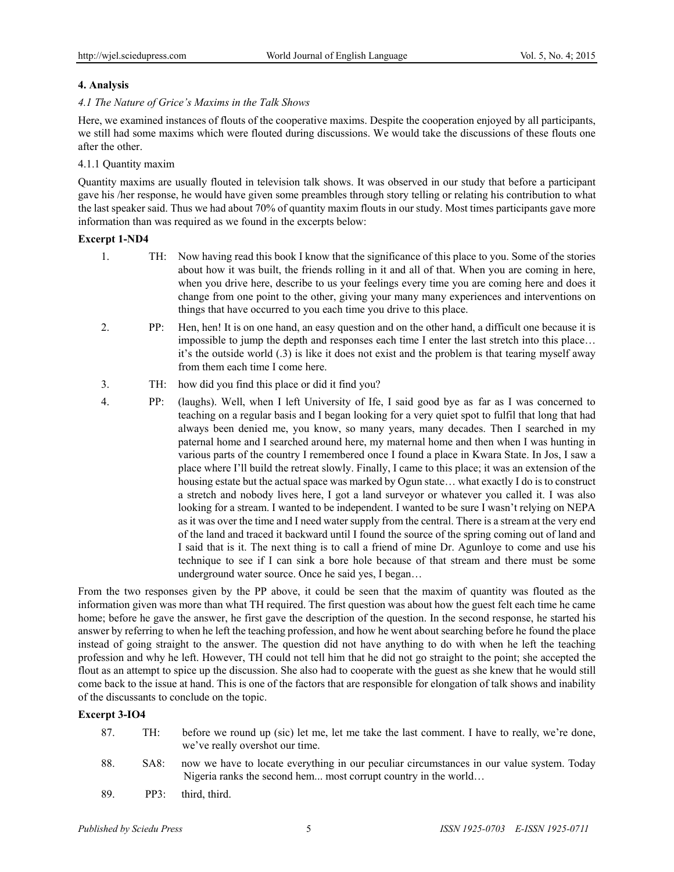# **4. Analysis**

#### *4.1 The Nature of Grice's Maxims in the Talk Shows*

Here, we examined instances of flouts of the cooperative maxims. Despite the cooperation enjoyed by all participants, we still had some maxims which were flouted during discussions. We would take the discussions of these flouts one after the other.

#### 4.1.1 Quantity maxim

Quantity maxims are usually flouted in television talk shows. It was observed in our study that before a participant gave his /her response, he would have given some preambles through story telling or relating his contribution to what the last speaker said. Thus we had about 70% of quantity maxim flouts in our study. Most times participants gave more information than was required as we found in the excerpts below:

## **Excerpt 1-ND4**

- 1. TH: Now having read this book I know that the significance of this place to you. Some of the stories about how it was built, the friends rolling in it and all of that. When you are coming in here, when you drive here, describe to us your feelings every time you are coming here and does it change from one point to the other, giving your many many experiences and interventions on things that have occurred to you each time you drive to this place.
- 2. PP: Hen, hen! It is on one hand, an easy question and on the other hand, a difficult one because it is impossible to jump the depth and responses each time I enter the last stretch into this place… it's the outside world (.3) is like it does not exist and the problem is that tearing myself away from them each time I come here.
- 3. TH: how did you find this place or did it find you?
- 4. PP: (laughs). Well, when I left University of Ife, I said good bye as far as I was concerned to teaching on a regular basis and I began looking for a very quiet spot to fulfil that long that had always been denied me, you know, so many years, many decades. Then I searched in my paternal home and I searched around here, my maternal home and then when I was hunting in various parts of the country I remembered once I found a place in Kwara State. In Jos, I saw a place where I'll build the retreat slowly. Finally, I came to this place; it was an extension of the housing estate but the actual space was marked by Ogun state… what exactly I do is to construct a stretch and nobody lives here, I got a land surveyor or whatever you called it. I was also looking for a stream. I wanted to be independent. I wanted to be sure I wasn't relying on NEPA as it was over the time and I need water supply from the central. There is a stream at the very end of the land and traced it backward until I found the source of the spring coming out of land and I said that is it. The next thing is to call a friend of mine Dr. Agunloye to come and use his technique to see if I can sink a bore hole because of that stream and there must be some underground water source. Once he said yes, I began…

From the two responses given by the PP above, it could be seen that the maxim of quantity was flouted as the information given was more than what TH required. The first question was about how the guest felt each time he came home; before he gave the answer, he first gave the description of the question. In the second response, he started his answer by referring to when he left the teaching profession, and how he went about searching before he found the place instead of going straight to the answer. The question did not have anything to do with when he left the teaching profession and why he left. However, TH could not tell him that he did not go straight to the point; she accepted the flout as an attempt to spice up the discussion. She also had to cooperate with the guest as she knew that he would still come back to the issue at hand. This is one of the factors that are responsible for elongation of talk shows and inability of the discussants to conclude on the topic.

## **Excerpt 3-IO4**

- 87. TH: before we round up (sic) let me, let me take the last comment. I have to really, we're done, we've really overshot our time.
- 88. SA8: now we have to locate everything in our peculiar circumstances in our value system. Today Nigeria ranks the second hem... most corrupt country in the world…
- 89. PP3: third, third.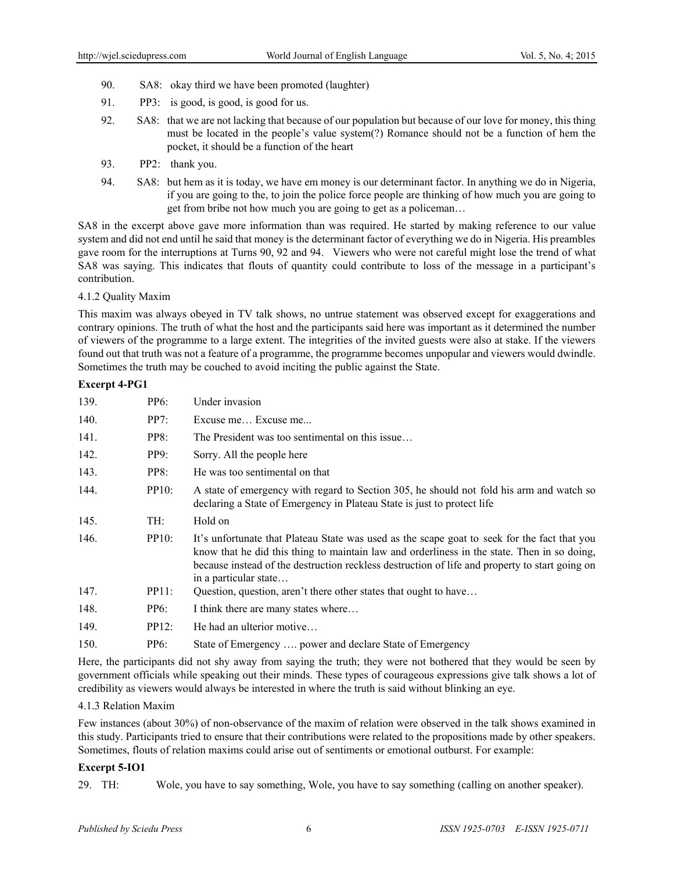- 90. SA8: okay third we have been promoted (laughter)
- 91. PP3: is good, is good, is good for us.
- 92. SA8: that we are not lacking that because of our population but because of our love for money, this thing must be located in the people's value system(?) Romance should not be a function of hem the pocket, it should be a function of the heart
- 93. PP2: thank you.
- 94. SA8: but hem as it is today, we have em money is our determinant factor. In anything we do in Nigeria, if you are going to the, to join the police force people are thinking of how much you are going to get from bribe not how much you are going to get as a policeman…

SA8 in the excerpt above gave more information than was required. He started by making reference to our value system and did not end until he said that money is the determinant factor of everything we do in Nigeria. His preambles gave room for the interruptions at Turns 90, 92 and 94. Viewers who were not careful might lose the trend of what SA8 was saying. This indicates that flouts of quantity could contribute to loss of the message in a participant's contribution.

4.1.2 Quality Maxim

This maxim was always obeyed in TV talk shows, no untrue statement was observed except for exaggerations and contrary opinions. The truth of what the host and the participants said here was important as it determined the number of viewers of the programme to a large extent. The integrities of the invited guests were also at stake. If the viewers found out that truth was not a feature of a programme, the programme becomes unpopular and viewers would dwindle. Sometimes the truth may be couched to avoid inciting the public against the State.

#### **Excerpt 4-PG1**

| PP6:  | Under invasion                                                                                                                                                                                                                                                                                                         |
|-------|------------------------------------------------------------------------------------------------------------------------------------------------------------------------------------------------------------------------------------------------------------------------------------------------------------------------|
| PP7:  | Excuse me Excuse me                                                                                                                                                                                                                                                                                                    |
| PP8:  | The President was too sentimental on this issue                                                                                                                                                                                                                                                                        |
| PP9:  | Sorry. All the people here                                                                                                                                                                                                                                                                                             |
| PP8:  | He was too sentimental on that                                                                                                                                                                                                                                                                                         |
| PP10: | A state of emergency with regard to Section 305, he should not fold his arm and watch so<br>declaring a State of Emergency in Plateau State is just to protect life                                                                                                                                                    |
| TH:   | Hold on                                                                                                                                                                                                                                                                                                                |
| PP10: | It's unfortunate that Plateau State was used as the scape goat to seek for the fact that you<br>know that he did this thing to maintain law and orderliness in the state. Then in so doing,<br>because instead of the destruction reckless destruction of life and property to start going on<br>in a particular state |
| PP11: | Question, question, aren't there other states that ought to have                                                                                                                                                                                                                                                       |
| PP6:  | I think there are many states where                                                                                                                                                                                                                                                                                    |
| PP12: | He had an ulterior motive                                                                                                                                                                                                                                                                                              |
| PP6:  | State of Emergency  power and declare State of Emergency                                                                                                                                                                                                                                                               |
|       |                                                                                                                                                                                                                                                                                                                        |

Here, the participants did not shy away from saying the truth; they were not bothered that they would be seen by government officials while speaking out their minds. These types of courageous expressions give talk shows a lot of credibility as viewers would always be interested in where the truth is said without blinking an eye.

#### 4.1.3 Relation Maxim

Few instances (about 30%) of non-observance of the maxim of relation were observed in the talk shows examined in this study. Participants tried to ensure that their contributions were related to the propositions made by other speakers. Sometimes, flouts of relation maxims could arise out of sentiments or emotional outburst. For example:

## **Excerpt 5-IO1**

29. TH: Wole, you have to say something, Wole, you have to say something (calling on another speaker).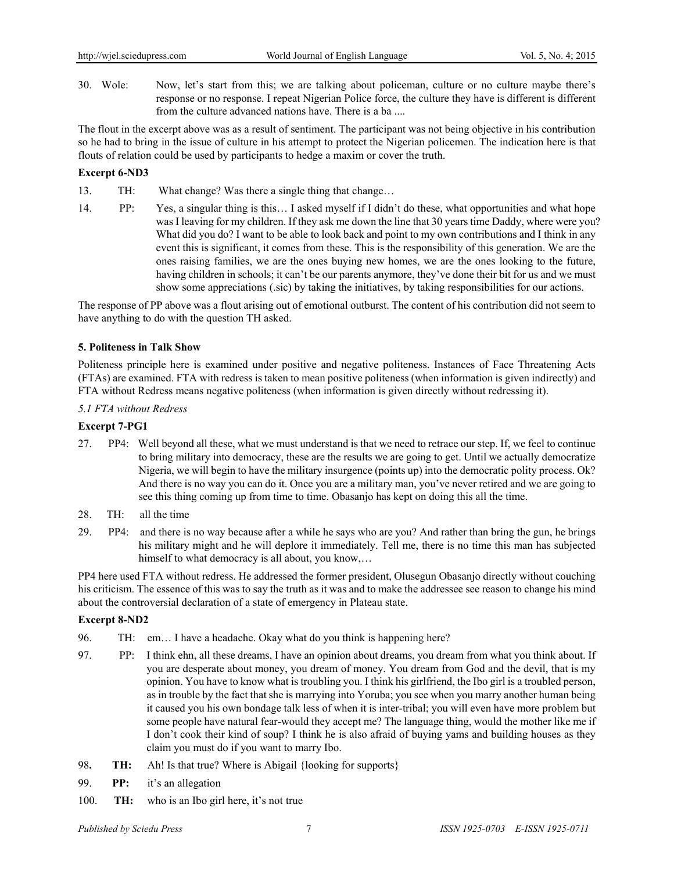30. Wole: Now, let's start from this; we are talking about policeman, culture or no culture maybe there's response or no response. I repeat Nigerian Police force, the culture they have is different is different from the culture advanced nations have. There is a ba ....

The flout in the excerpt above was as a result of sentiment. The participant was not being objective in his contribution so he had to bring in the issue of culture in his attempt to protect the Nigerian policemen. The indication here is that flouts of relation could be used by participants to hedge a maxim or cover the truth.

# **Excerpt 6-ND3**

13. TH: What change? Was there a single thing that change…

14. PP: Yes, a singular thing is this… I asked myself if I didn't do these, what opportunities and what hope was I leaving for my children. If they ask me down the line that 30 years time Daddy, where were you? What did you do? I want to be able to look back and point to my own contributions and I think in any event this is significant, it comes from these. This is the responsibility of this generation. We are the ones raising families, we are the ones buying new homes, we are the ones looking to the future, having children in schools; it can't be our parents anymore, they've done their bit for us and we must show some appreciations (.sic) by taking the initiatives, by taking responsibilities for our actions.

The response of PP above was a flout arising out of emotional outburst. The content of his contribution did not seem to have anything to do with the question TH asked.

## **5. Politeness in Talk Show**

Politeness principle here is examined under positive and negative politeness. Instances of Face Threatening Acts (FTAs) are examined. FTA with redress is taken to mean positive politeness (when information is given indirectly) and FTA without Redress means negative politeness (when information is given directly without redressing it).

#### *5.1 FTA without Redress*

#### **Excerpt 7-PG1**

- 27. PP4: Well beyond all these, what we must understand is that we need to retrace our step. If, we feel to continue to bring military into democracy, these are the results we are going to get. Until we actually democratize Nigeria, we will begin to have the military insurgence (points up) into the democratic polity process. Ok? And there is no way you can do it. Once you are a military man, you've never retired and we are going to see this thing coming up from time to time. Obasanjo has kept on doing this all the time.
- 28. TH: all the time
- 29. PP4: and there is no way because after a while he says who are you? And rather than bring the gun, he brings his military might and he will deplore it immediately. Tell me, there is no time this man has subjected himself to what democracy is all about, you know,...

PP4 here used FTA without redress. He addressed the former president, Olusegun Obasanjo directly without couching his criticism. The essence of this was to say the truth as it was and to make the addressee see reason to change his mind about the controversial declaration of a state of emergency in Plateau state.

#### **Excerpt 8-ND2**

- 96. TH: em… I have a headache. Okay what do you think is happening here?
- 97. PP: I think ehn, all these dreams, I have an opinion about dreams, you dream from what you think about. If you are desperate about money, you dream of money. You dream from God and the devil, that is my opinion. You have to know what is troubling you. I think his girlfriend, the Ibo girl is a troubled person, as in trouble by the fact that she is marrying into Yoruba; you see when you marry another human being it caused you his own bondage talk less of when it is inter-tribal; you will even have more problem but some people have natural fear-would they accept me? The language thing, would the mother like me if I don't cook their kind of soup? I think he is also afraid of buying yams and building houses as they claim you must do if you want to marry Ibo.
- 98**. TH:** Ah! Is that true? Where is Abigail {looking for supports}
- 99. **PP:** it's an allegation
- 100. **TH:** who is an Ibo girl here, it's not true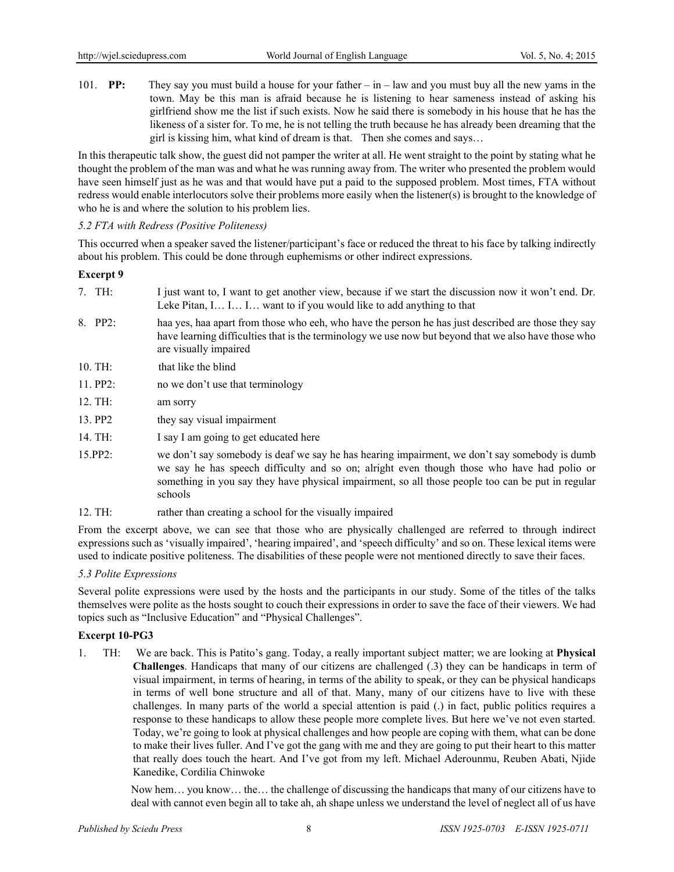101. **PP:** They say you must build a house for your father – in – law and you must buy all the new yams in the town. May be this man is afraid because he is listening to hear sameness instead of asking his girlfriend show me the list if such exists. Now he said there is somebody in his house that he has the likeness of a sister for. To me, he is not telling the truth because he has already been dreaming that the girl is kissing him, what kind of dream is that. Then she comes and says…

In this therapeutic talk show, the guest did not pamper the writer at all. He went straight to the point by stating what he thought the problem of the man was and what he was running away from. The writer who presented the problem would have seen himself just as he was and that would have put a paid to the supposed problem. Most times, FTA without redress would enable interlocutors solve their problems more easily when the listener(s) is brought to the knowledge of who he is and where the solution to his problem lies.

#### *5.2 FTA with Redress (Positive Politeness)*

This occurred when a speaker saved the listener/participant's face or reduced the threat to his face by talking indirectly about his problem. This could be done through euphemisms or other indirect expressions.

#### **Excerpt 9**

- 7. TH: I just want to, I want to get another view, because if we start the discussion now it won't end. Dr. Leke Pitan, I… I… I… want to if you would like to add anything to that
- 8. PP2: haa yes, haa apart from those who eeh, who have the person he has just described are those they say have learning difficulties that is the terminology we use now but beyond that we also have those who are visually impaired
- 10. TH: that like the blind
- 11. PP2: no we don't use that terminology
- 12. TH: am sorry
- 13. PP2 they say visual impairment
- 14. TH: I say I am going to get educated here
- 15.PP2: we don't say somebody is deaf we say he has hearing impairment, we don't say somebody is dumb we say he has speech difficulty and so on; alright even though those who have had polio or something in you say they have physical impairment, so all those people too can be put in regular schools
- 12. TH: rather than creating a school for the visually impaired

From the excerpt above, we can see that those who are physically challenged are referred to through indirect expressions such as 'visually impaired', 'hearing impaired', and 'speech difficulty' and so on. These lexical items were used to indicate positive politeness. The disabilities of these people were not mentioned directly to save their faces.

## *5.3 Polite Expressions*

Several polite expressions were used by the hosts and the participants in our study. Some of the titles of the talks themselves were polite as the hosts sought to couch their expressions in order to save the face of their viewers. We had topics such as "Inclusive Education" and "Physical Challenges".

## **Excerpt 10-PG3**

1. TH: We are back. This is Patito's gang. Today, a really important subject matter; we are looking at **Physical Challenges**. Handicaps that many of our citizens are challenged (.3) they can be handicaps in term of visual impairment, in terms of hearing, in terms of the ability to speak, or they can be physical handicaps in terms of well bone structure and all of that. Many, many of our citizens have to live with these challenges. In many parts of the world a special attention is paid (.) in fact, public politics requires a response to these handicaps to allow these people more complete lives. But here we've not even started. Today, we're going to look at physical challenges and how people are coping with them, what can be done to make their lives fuller. And I've got the gang with me and they are going to put their heart to this matter that really does touch the heart. And I've got from my left. Michael Aderounmu, Reuben Abati, Njide Kanedike, Cordilia Chinwoke

Now hem… you know… the… the challenge of discussing the handicaps that many of our citizens have to deal with cannot even begin all to take ah, ah shape unless we understand the level of neglect all of us have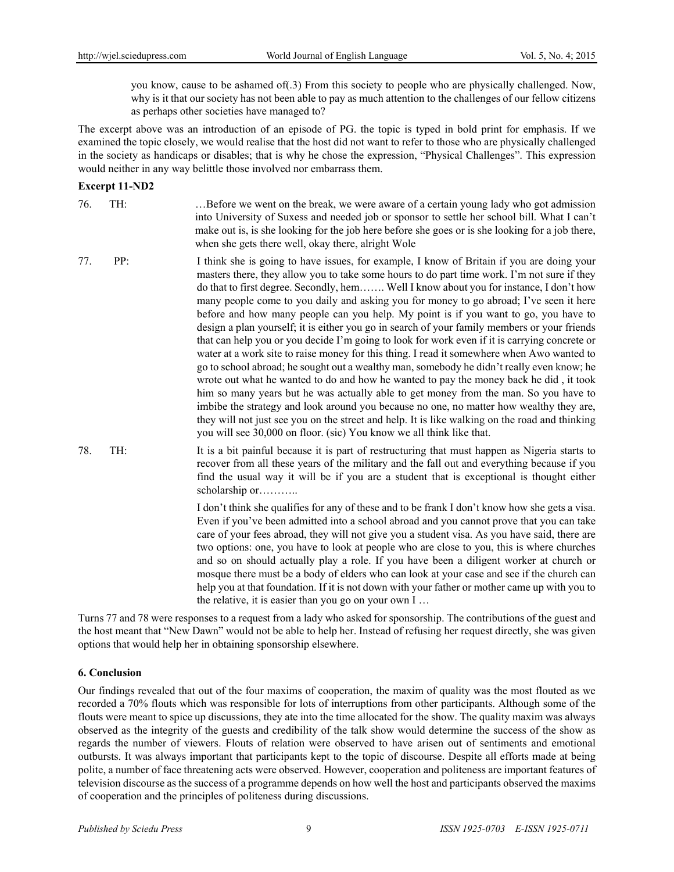you know, cause to be ashamed of(.3) From this society to people who are physically challenged. Now, why is it that our society has not been able to pay as much attention to the challenges of our fellow citizens as perhaps other societies have managed to?

The excerpt above was an introduction of an episode of PG. the topic is typed in bold print for emphasis. If we examined the topic closely, we would realise that the host did not want to refer to those who are physically challenged in the society as handicaps or disables; that is why he chose the expression, "Physical Challenges". This expression would neither in any way belittle those involved nor embarrass them.

#### **Excerpt 11-ND2**

76. TH: …Before we went on the break, we were aware of a certain young lady who got admission into University of Suxess and needed job or sponsor to settle her school bill. What I can't make out is, is she looking for the job here before she goes or is she looking for a job there, when she gets there well, okay there, alright Wole

- 77. PP: I think she is going to have issues, for example, I know of Britain if you are doing your masters there, they allow you to take some hours to do part time work. I'm not sure if they do that to first degree. Secondly, hem……. Well I know about you for instance, I don't how many people come to you daily and asking you for money to go abroad; I've seen it here before and how many people can you help. My point is if you want to go, you have to design a plan yourself; it is either you go in search of your family members or your friends that can help you or you decide I'm going to look for work even if it is carrying concrete or water at a work site to raise money for this thing. I read it somewhere when Awo wanted to go to school abroad; he sought out a wealthy man, somebody he didn't really even know; he wrote out what he wanted to do and how he wanted to pay the money back he did , it took him so many years but he was actually able to get money from the man. So you have to imbibe the strategy and look around you because no one, no matter how wealthy they are, they will not just see you on the street and help. It is like walking on the road and thinking you will see 30,000 on floor. (sic) You know we all think like that.
- 78. TH: It is a bit painful because it is part of restructuring that must happen as Nigeria starts to recover from all these years of the military and the fall out and everything because if you find the usual way it will be if you are a student that is exceptional is thought either scholarship or………..

I don't think she qualifies for any of these and to be frank I don't know how she gets a visa. Even if you've been admitted into a school abroad and you cannot prove that you can take care of your fees abroad, they will not give you a student visa. As you have said, there are two options: one, you have to look at people who are close to you, this is where churches and so on should actually play a role. If you have been a diligent worker at church or mosque there must be a body of elders who can look at your case and see if the church can help you at that foundation. If it is not down with your father or mother came up with you to the relative, it is easier than you go on your own I …

Turns 77 and 78 were responses to a request from a lady who asked for sponsorship. The contributions of the guest and the host meant that "New Dawn" would not be able to help her. Instead of refusing her request directly, she was given options that would help her in obtaining sponsorship elsewhere.

## **6. Conclusion**

Our findings revealed that out of the four maxims of cooperation, the maxim of quality was the most flouted as we recorded a 70% flouts which was responsible for lots of interruptions from other participants. Although some of the flouts were meant to spice up discussions, they ate into the time allocated for the show. The quality maxim was always observed as the integrity of the guests and credibility of the talk show would determine the success of the show as regards the number of viewers. Flouts of relation were observed to have arisen out of sentiments and emotional outbursts. It was always important that participants kept to the topic of discourse. Despite all efforts made at being polite, a number of face threatening acts were observed. However, cooperation and politeness are important features of television discourse as the success of a programme depends on how well the host and participants observed the maxims of cooperation and the principles of politeness during discussions.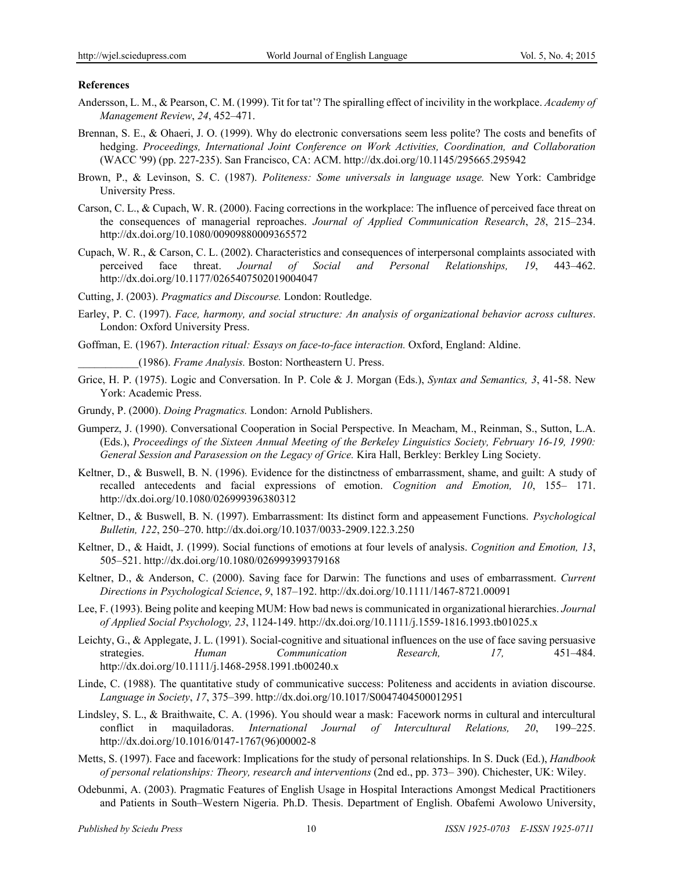#### **References**

- Andersson, L. M., & Pearson, C. M. (1999). Tit for tat'? The spiralling effect of incivility in the workplace. *Academy of Management Review*, *24*, 452–471.
- Brennan, S. E., & Ohaeri, J. O. (1999). Why do electronic conversations seem less polite? The costs and benefits of hedging. *Proceedings, International Joint Conference on Work Activities, Coordination, and Collaboration*  (WACC '99) (pp. 227-235). San Francisco, CA: ACM. http://dx.doi.org/10.1145/295665.295942
- Brown, P., & Levinson, S. C. (1987). *Politeness: Some universals in language usage.* New York: Cambridge University Press.
- Carson, C. L., & Cupach, W. R. (2000). Facing corrections in the workplace: The influence of perceived face threat on the consequences of managerial reproaches. *Journal of Applied Communication Research*, *28*, 215–234. http://dx.doi.org/10.1080/00909880009365572
- Cupach, W. R., & Carson, C. L. (2002). Characteristics and consequences of interpersonal complaints associated with perceived face threat. *Journal of Social and Personal Relationships, 19*, 443–462. http://dx.doi.org/10.1177/0265407502019004047
- Cutting, J. (2003). *Pragmatics and Discourse.* London: Routledge.
- Earley, P. C. (1997). *Face, harmony, and social structure: An analysis of organizational behavior across cultures*. London: Oxford University Press.
- Goffman, E. (1967). *Interaction ritual: Essays on face-to-face interaction.* Oxford, England: Aldine.

\_\_\_\_\_\_\_\_\_\_\_(1986). *Frame Analysis.* Boston: Northeastern U. Press.

- Grice, H. P. (1975). Logic and Conversation. In P. Cole & J. Morgan (Eds.), *Syntax and Semantics, 3*, 41-58. New York: Academic Press.
- Grundy, P. (2000). *Doing Pragmatics.* London: Arnold Publishers.
- Gumperz, J. (1990). Conversational Cooperation in Social Perspective. In Meacham, M., Reinman, S., Sutton, L.A. (Eds.), *Proceedings of the Sixteen Annual Meeting of the Berkeley Linguistics Society, February 16-19, 1990: General Session and Parasession on the Legacy of Grice.* Kira Hall, Berkley: Berkley Ling Society.
- Keltner, D., & Buswell, B. N. (1996). Evidence for the distinctness of embarrassment, shame, and guilt: A study of recalled antecedents and facial expressions of emotion. *Cognition and Emotion, 10*, 155– 171. http://dx.doi.org/10.1080/026999396380312
- Keltner, D., & Buswell, B. N. (1997). Embarrassment: Its distinct form and appeasement Functions. *Psychological Bulletin, 122*, 250–270. http://dx.doi.org/10.1037/0033-2909.122.3.250
- Keltner, D., & Haidt, J. (1999). Social functions of emotions at four levels of analysis. *Cognition and Emotion, 13*, 505–521. http://dx.doi.org/10.1080/026999399379168
- Keltner, D., & Anderson, C. (2000). Saving face for Darwin: The functions and uses of embarrassment. *Current Directions in Psychological Science*, *9*, 187–192. http://dx.doi.org/10.1111/1467-8721.00091
- Lee, F. (1993). Being polite and keeping MUM: How bad news is communicated in organizational hierarchies. *Journal of Applied Social Psychology, 23*, 1124-149. http://dx.doi.org/10.1111/j.1559-1816.1993.tb01025.x
- Leichty, G., & Applegate, J. L. (1991). Social-cognitive and situational influences on the use of face saving persuasive strategies. *Human Communication Research, 17,* 451–484. http://dx.doi.org/10.1111/j.1468-2958.1991.tb00240.x
- Linde, C. (1988). The quantitative study of communicative success: Politeness and accidents in aviation discourse. *Language in Society*, *17*, 375–399. http://dx.doi.org/10.1017/S0047404500012951
- Lindsley, S. L., & Braithwaite, C. A. (1996). You should wear a mask: Facework norms in cultural and intercultural conflict in maquiladoras. *International Journal of Intercultural Relations, 20*, 199–225. http://dx.doi.org/10.1016/0147-1767(96)00002-8
- Metts, S. (1997). Face and facework: Implications for the study of personal relationships. In S. Duck (Ed.), *Handbook of personal relationships: Theory, research and interventions* (2nd ed., pp. 373– 390). Chichester, UK: Wiley.
- Odebunmi, A. (2003). Pragmatic Features of English Usage in Hospital Interactions Amongst Medical Practitioners and Patients in South–Western Nigeria. Ph.D. Thesis. Department of English. Obafemi Awolowo University,